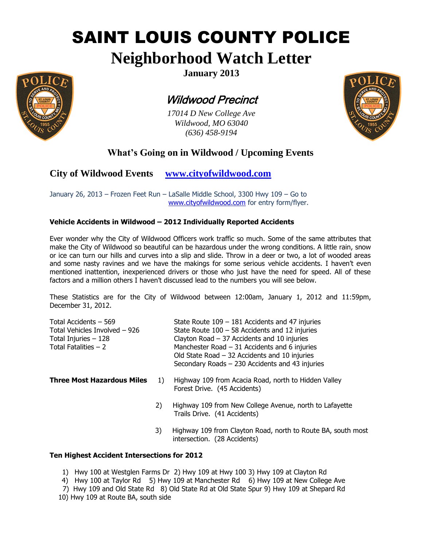# SAINT LOUIS COUNTY POLICE

## **Neighborhood Watch Letter**



**January 2013**

## Wildwood Precinct

*17014 D New College Ave Wildwood, MO 63040 (636) 458-9194*



### **What's Going on in Wildwood / Upcoming Events**

**City of Wildwood Events [www.cityofwildwood.com](http://www.cityofwildwood.com/)**

January 26, 2013 – Frozen Feet Run – LaSalle Middle School, 3300 Hwy 109 – Go to [www.cityofwildwood.com](http://www.cityofwildwood.com/) for entry form/flyer.

#### **Vehicle Accidents in Wildwood – 2012 Individually Reported Accidents**

Ever wonder why the City of Wildwood Officers work traffic so much. Some of the same attributes that make the City of Wildwood so beautiful can be hazardous under the wrong conditions. A little rain, snow or ice can turn our hills and curves into a slip and slide. Throw in a deer or two, a lot of wooded areas and some nasty ravines and we have the makings for some serious vehicle accidents. I haven't even mentioned inattention, inexperienced drivers or those who just have the need for speed. All of these factors and a million others I haven't discussed lead to the numbers you will see below.

These Statistics are for the City of Wildwood between 12:00am, January 1, 2012 and 11:59pm, December 31, 2012.

| Total Accidents – 569<br>Total Vehicles Involved – 926<br>Total Injuries - 128<br>Total Fatalities – 2 |    | State Route $109 - 181$ Accidents and 47 injuries<br>State Route $100 - 58$ Accidents and 12 injuries<br>Clayton Road $-37$ Accidents and 10 injuries<br>Manchester Road $-31$ Accidents and 6 injuries<br>Old State Road $-32$ Accidents and 10 injuries<br>Secondary Roads - 230 Accidents and 43 injuries |
|--------------------------------------------------------------------------------------------------------|----|--------------------------------------------------------------------------------------------------------------------------------------------------------------------------------------------------------------------------------------------------------------------------------------------------------------|
| <b>Three Most Hazardous Miles</b>                                                                      | 1) | Highway 109 from Acacia Road, north to Hidden Valley<br>Forest Drive. (45 Accidents)                                                                                                                                                                                                                         |
|                                                                                                        | 2) | Highway 109 from New College Avenue, north to Lafayette<br>Trails Drive. (41 Accidents)                                                                                                                                                                                                                      |
|                                                                                                        | 3) | Highway 109 from Clayton Road, north to Route BA, south most<br>intersection. (28 Accidents)                                                                                                                                                                                                                 |

#### **Ten Highest Accident Intersections for 2012**

1) Hwy 100 at Westglen Farms Dr 2) Hwy 109 at Hwy 100 3) Hwy 109 at Clayton Rd

- 4) Hwy 100 at Taylor Rd 5) Hwy 109 at Manchester Rd 6) Hwy 109 at New College Ave
- 7) Hwy 109 and Old State Rd 8) Old State Rd at Old State Spur 9) Hwy 109 at Shepard Rd
- 10) Hwy 109 at Route BA, south side